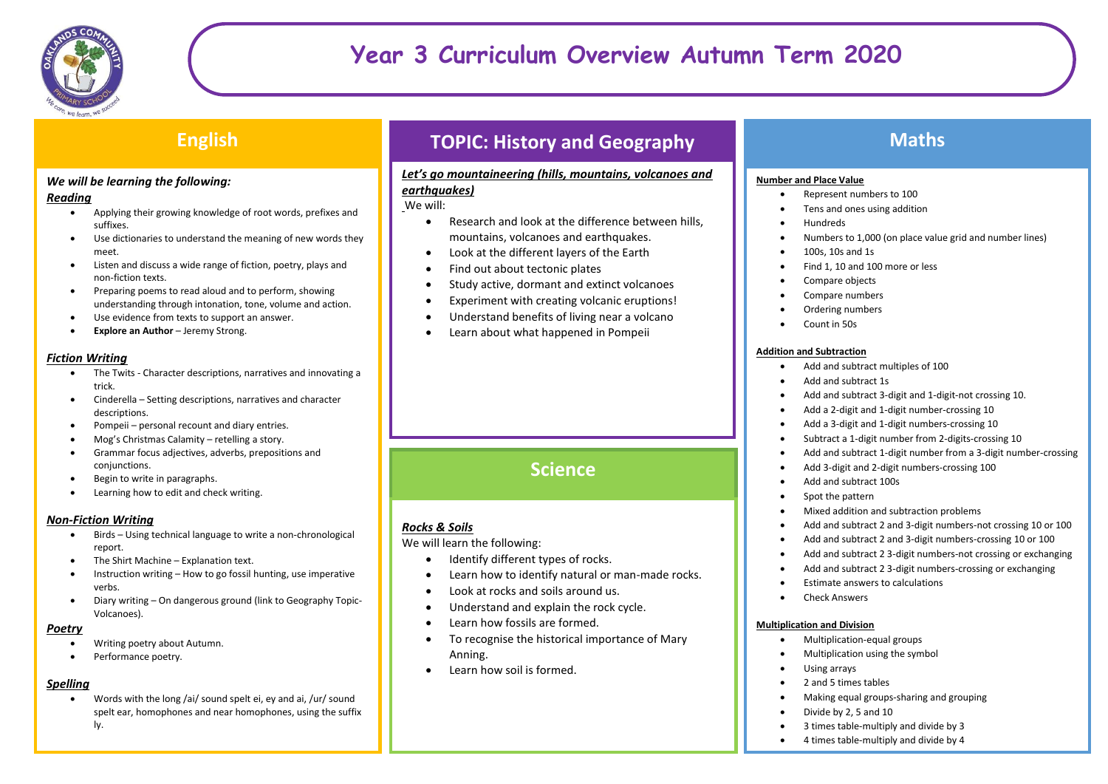

## **English**

### *We will be learning the following:*

#### *Reading*

- Applying their growing knowledge of root words, prefixes and suffixes.
- Use dictionaries to understand the meaning of new words they meet.
- Listen and discuss a wide range of fiction, poetry, plays and non-fiction texts.
- Preparing poems to read aloud and to perform, showing understanding through intonation, tone, volume and action.
- Use evidence from texts to support an answer.
- **Explore an Author** Jeremy Strong.

#### *Fiction Writing*

- The Twits Character descriptions, narratives and innovating a trick.
- Cinderella Setting descriptions, narratives and character descriptions.
- Pompeii personal recount and diary entries.
- Mog's Christmas Calamity retelling a story.
- Grammar focus adjectives, adverbs, prepositions and conjunctions.
- Begin to write in paragraphs.
- Learning how to edit and check writing.

### *Non-Fiction Writing*

- Birds Using technical language to write a non-chronological report.
- The Shirt Machine Explanation text.
- Instruction writing How to go fossil hunting, use imperative verbs.
- Diary writing On dangerous ground (link to Geography Topic-Volcanoes).

### *Poetry*

- Writing poetry about Autumn.
- Performance poetry.

### *Spelling*

 Words with the long /ai/ sound spelt ei, ey and ai, /ur/ sound spelt ear, homophones and near homophones, using the suffix ly.

# **TOPIC: History and Geography**

### *Let's go mountaineering (hills, mountains, volcanoes and earthquakes)*

We will:

- Research and look at the difference between hills, mountains, volcanoes and earthquakes.
- Look at the different layers of the Earth
- Find out about tectonic plates
- Study active, dormant and extinct volcanoes
- Experiment with creating volcanic eruptions!
- Understand benefits of living near a volcano
- Learn about what happened in Pompeii

# **Science**

### *Rocks & Soils*

We will learn the following:

- Identify different types of rocks.
- Learn how to identify natural or man-made rocks.
- Look at rocks and soils around us.
- Understand and explain the rock cycle.
- Learn how fossils are formed.
- To recognise the historical importance of Mary Anning.
- Learn how soil is formed.

## **Maths**

#### **Number and Place Value**

- Represent numbers to 100
- Tens and ones using addition
- Hundreds
- Numbers to 1,000 (on place value grid and number lines)
- 100s, 10s and 1s
- Find 1, 10 and 100 more or less
- Compare objects
- Compare numbers
- Ordering numbers
- Count in 50s

#### **Addition and Subtraction**

- Add and subtract multiples of 100
- Add and subtract 1s
- Add and subtract 3-digit and 1-digit-not crossing 10.
- Add a 2-digit and 1-digit number-crossing 10
- Add a 3-digit and 1-digit numbers-crossing 10
- Subtract a 1-digit number from 2-digits-crossing 10
- Add and subtract 1-digit number from a 3-digit number-crossing
- Add 3-digit and 2-digit numbers-crossing 100
- Add and subtract 100s
- Spot the pattern
- Mixed addition and subtraction problems
- Add and subtract 2 and 3-digit numbers-not crossing 10 or 100
- Add and subtract 2 and 3-digit numbers-crossing 10 or 100
- Add and subtract 2 3-digit numbers-not crossing or exchanging
- Add and subtract 2 3-digit numbers-crossing or exchanging
- Estimate answers to calculations
- Check Answers

#### **Multiplication and Division**

- Multiplication-equal groups
- Multiplication using the symbol
- Using arrays
- 2 and 5 times tables
- Making equal groups-sharing and grouping
- Divide by 2, 5 and 10
- 3 times table-multiply and divide by 3
- 4 times table-multiply and divide by 4  $\mathbb{R}^n$  table-multiply and divide by  $\mathbb{R}^n$  and divide by  $\mathbb{R}^n$